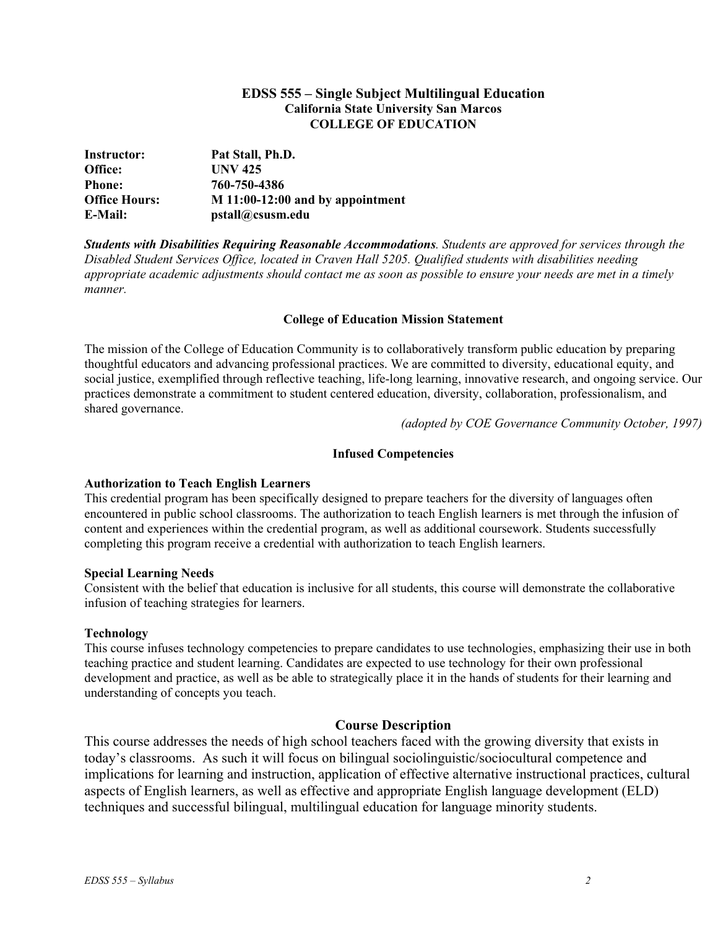### **EDSS 555 – Single Subject Multilingual Education California State University San Marcos COLLEGE OF EDUCATION**

| Instructor:          | Pat Stall, Ph.D.                   |
|----------------------|------------------------------------|
| Office:              | <b>UNV 425</b>                     |
| <b>Phone:</b>        | 760-750-4386                       |
| <b>Office Hours:</b> | $M$ 11:00-12:00 and by appointment |
| E-Mail:              | pstall@csusm.edu                   |

*Students with Disabilities Requiring Reasonable Accommodations. Students are approved for services through the Disabled Student Services Office, located in Craven Hall 5205. Qualified students with disabilities needing appropriate academic adjustments should contact me as soon as possible to ensure your needs are met in a timely manner.* 

#### **College of Education Mission Statement**

The mission of the College of Education Community is to collaboratively transform public education by preparing thoughtful educators and advancing professional practices. We are committed to diversity, educational equity, and social justice, exemplified through reflective teaching, life-long learning, innovative research, and ongoing service. Our practices demonstrate a commitment to student centered education, diversity, collaboration, professionalism, and shared governance.

*(adopted by COE Governance Community October, 1997)*

#### **Infused Competencies**

#### **Authorization to Teach English Learners**

This credential program has been specifically designed to prepare teachers for the diversity of languages often encountered in public school classrooms. The authorization to teach English learners is met through the infusion of content and experiences within the credential program, as well as additional coursework. Students successfully completing this program receive a credential with authorization to teach English learners.

#### **Special Learning Needs**

Consistent with the belief that education is inclusive for all students, this course will demonstrate the collaborative infusion of teaching strategies for learners.

#### **Technology**

This course infuses technology competencies to prepare candidates to use technologies, emphasizing their use in both teaching practice and student learning. Candidates are expected to use technology for their own professional development and practice, as well as be able to strategically place it in the hands of students for their learning and understanding of concepts you teach.

#### **Course Description**

This course addresses the needs of high school teachers faced with the growing diversity that exists in today's classrooms. As such it will focus on bilingual sociolinguistic/sociocultural competence and implications for learning and instruction, application of effective alternative instructional practices, cultural aspects of English learners, as well as effective and appropriate English language development (ELD) techniques and successful bilingual, multilingual education for language minority students.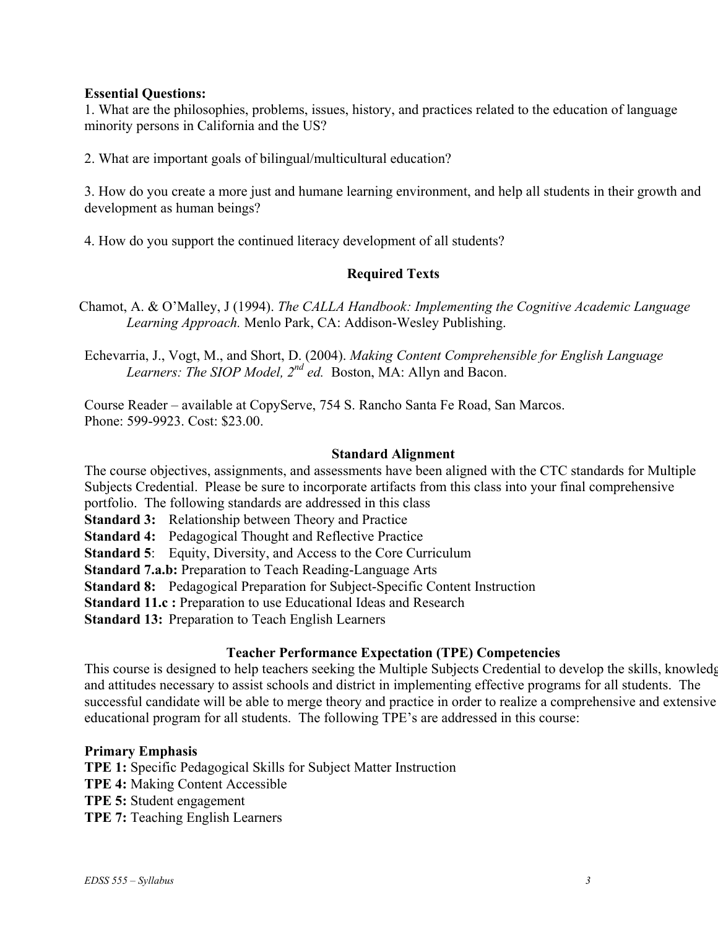### **Essential Questions:**

1. What are the philosophies, problems, issues, history, and practices related to the education of language minority persons in California and the US?

2. What are important goals of bilingual/multicultural education?

3. How do you create a more just and humane learning environment, and help all students in their growth and development as human beings?

4. How do you support the continued literacy development of all students?

## **Required Texts**

Chamot, A. & O'Malley, J (1994). *The CALLA Handbook: Implementing the Cognitive Academic Language Learning Approach.* Menlo Park, CA: Addison-Wesley Publishing.

Echevarria, J., Vogt, M., and Short, D. (2004). *Making Content Comprehensible for English Language Learners: The SIOP Model, 2nd ed.* Boston, MA: Allyn and Bacon.

Course Reader – available at CopyServe, 754 S. Rancho Santa Fe Road, San Marcos. Phone: 599-9923. Cost: \$23.00.

#### **Standard Alignment**

The course objectives, assignments, and assessments have been aligned with the CTC standards for Multiple Subjects Credential. Please be sure to incorporate artifacts from this class into your final comprehensive

portfolio. The following standards are addressed in this class

**Standard 3:** Relationship between Theory and Practice

**Standard 4:** Pedagogical Thought and Reflective Practice

**Standard 5**: Equity, Diversity, and Access to the Core Curriculum

**Standard 7.a.b:** Preparation to Teach Reading-Language Arts

**Standard 8:** Pedagogical Preparation for Subject-Specific Content Instruction

**Standard 11.c :** Preparation to use Educational Ideas and Research

**Standard 13:** Preparation to Teach English Learners

## **Teacher Performance Expectation (TPE) Competencies**

This course is designed to help teachers seeking the Multiple Subjects Credential to develop the skills, knowledg and attitudes necessary to assist schools and district in implementing effective programs for all students. The successful candidate will be able to merge theory and practice in order to realize a comprehensive and extensive educational program for all students. The following TPE's are addressed in this course:

## **Primary Emphasis**

**TPE 1:** Specific Pedagogical Skills for Subject Matter Instruction **TPE 4:** Making Content Accessible **TPE 5:** Student engagement **TPE 7:** Teaching English Learners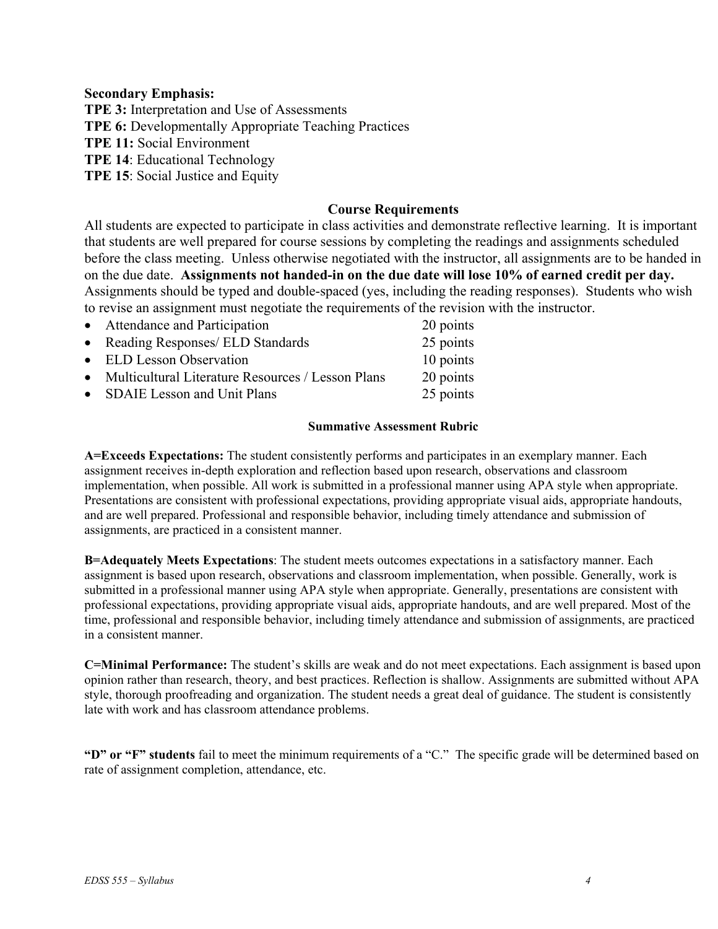### **Secondary Emphasis:**

**TPE 3:** Interpretation and Use of Assessments **TPE 6:** Developmentally Appropriate Teaching Practices **TPE 11:** Social Environment **TPE 14**: Educational Technology **TPE 15**: Social Justice and Equity

## **Course Requirements**

All students are expected to participate in class activities and demonstrate reflective learning. It is important that students are well prepared for course sessions by completing the readings and assignments scheduled before the class meeting. Unless otherwise negotiated with the instructor, all assignments are to be handed in on the due date. **Assignments not handed-in on the due date will lose 10% of earned credit per day.** Assignments should be typed and double-spaced (yes, including the reading responses). Students who wish to revise an assignment must negotiate the requirements of the revision with the instructor.

| • Attendance and Participation                      | 20 points |
|-----------------------------------------------------|-----------|
| • Reading Responses/ ELD Standards                  | 25 points |
| • ELD Lesson Observation                            | 10 points |
| • Multicultural Literature Resources / Lesson Plans | 20 points |
| • SDAIE Lesson and Unit Plans                       | 25 points |
|                                                     |           |

#### **Summative Assessment Rubric**

**A=Exceeds Expectations:** The student consistently performs and participates in an exemplary manner. Each assignment receives in-depth exploration and reflection based upon research, observations and classroom implementation, when possible. All work is submitted in a professional manner using APA style when appropriate. Presentations are consistent with professional expectations, providing appropriate visual aids, appropriate handouts, and are well prepared. Professional and responsible behavior, including timely attendance and submission of assignments, are practiced in a consistent manner.

**B=Adequately Meets Expectations**: The student meets outcomes expectations in a satisfactory manner. Each assignment is based upon research, observations and classroom implementation, when possible. Generally, work is submitted in a professional manner using APA style when appropriate. Generally, presentations are consistent with professional expectations, providing appropriate visual aids, appropriate handouts, and are well prepared. Most of the time, professional and responsible behavior, including timely attendance and submission of assignments, are practiced in a consistent manner.

**C=Minimal Performance:** The student's skills are weak and do not meet expectations. Each assignment is based upon opinion rather than research, theory, and best practices. Reflection is shallow. Assignments are submitted without APA style, thorough proofreading and organization. The student needs a great deal of guidance. The student is consistently late with work and has classroom attendance problems.

**"D" or "F" students** fail to meet the minimum requirements of a "C." The specific grade will be determined based on rate of assignment completion, attendance, etc.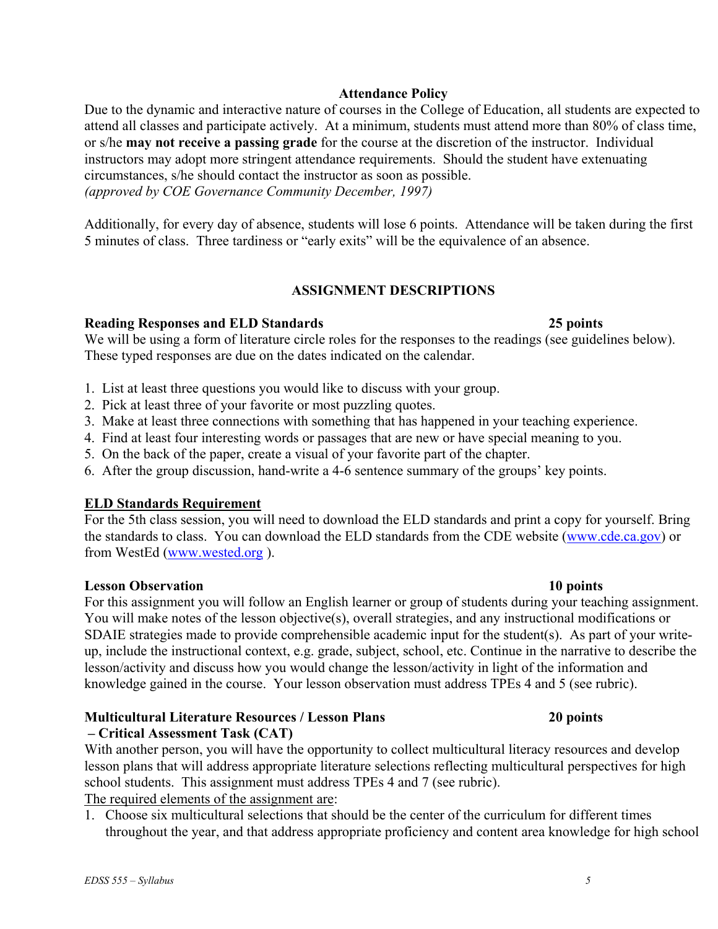## **Attendance Policy**

Due to the dynamic and interactive nature of courses in the College of Education, all students are expected to attend all classes and participate actively. At a minimum, students must attend more than 80% of class time, or s/he **may not receive a passing grade** for the course at the discretion of the instructor. Individual instructors may adopt more stringent attendance requirements. Should the student have extenuating circumstances, s/he should contact the instructor as soon as possible. *(approved by COE Governance Community December, 1997)*

Additionally, for every day of absence, students will lose 6 points. Attendance will be taken during the first 5 minutes of class. Three tardiness or "early exits" will be the equivalence of an absence.

## **ASSIGNMENT DESCRIPTIONS**

## **Reading Responses and ELD Standards 25 points**

We will be using a form of literature circle roles for the responses to the readings (see guidelines below). These typed responses are due on the dates indicated on the calendar.

- 1. List at least three questions you would like to discuss with your group.
- 2. Pick at least three of your favorite or most puzzling quotes.
- 3. Make at least three connections with something that has happened in your teaching experience.
- 4. Find at least four interesting words or passages that are new or have special meaning to you.
- 5. On the back of the paper, create a visual of your favorite part of the chapter.
- 6. After the group discussion, hand-write a 4-6 sentence summary of the groups' key points.

## **ELD Standards Requirement**

For the 5th class session, you will need to download the ELD standards and print a copy for yourself. Bring the standards to class. You can download the ELD standards from the CDE website (www.cde.ca.gov) or from WestEd (www.wested.org ).

## **Lesson Observation 10 points**

For this assignment you will follow an English learner or group of students during your teaching assignment. You will make notes of the lesson objective(s), overall strategies, and any instructional modifications or SDAIE strategies made to provide comprehensible academic input for the student(s). As part of your writeup, include the instructional context, e.g. grade, subject, school, etc. Continue in the narrative to describe the lesson/activity and discuss how you would change the lesson/activity in light of the information and knowledge gained in the course. Your lesson observation must address TPEs 4 and 5 (see rubric).

#### **Multicultural Literature Resources / Lesson Plans 20 points – Critical Assessment Task (CAT)**

With another person, you will have the opportunity to collect multicultural literacy resources and develop lesson plans that will address appropriate literature selections reflecting multicultural perspectives for high school students. This assignment must address TPEs 4 and 7 (see rubric).

The required elements of the assignment are:

1. Choose six multicultural selections that should be the center of the curriculum for different times throughout the year, and that address appropriate proficiency and content area knowledge for high school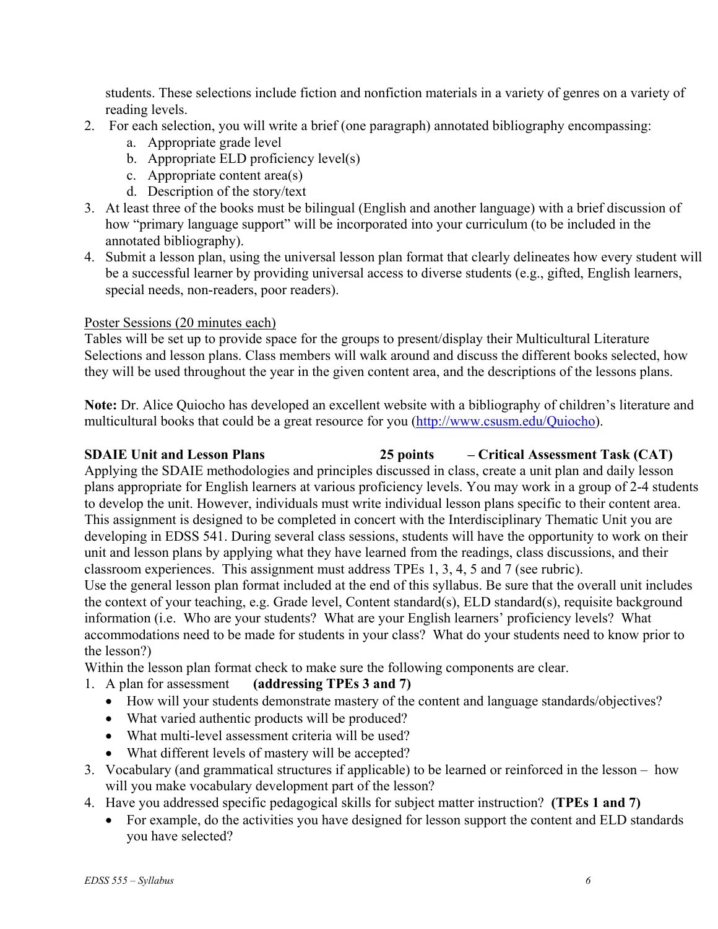students. These selections include fiction and nonfiction materials in a variety of genres on a variety of reading levels.

- 2. For each selection, you will write a brief (one paragraph) annotated bibliography encompassing:
	- a. Appropriate grade level
	- b. Appropriate ELD proficiency level(s)
	- c. Appropriate content area(s)
	- d. Description of the story/text
- 3. At least three of the books must be bilingual (English and another language) with a brief discussion of how "primary language support" will be incorporated into your curriculum (to be included in the annotated bibliography).
- 4. Submit a lesson plan, using the universal lesson plan format that clearly delineates how every student will be a successful learner by providing universal access to diverse students (e.g., gifted, English learners, special needs, non-readers, poor readers).

## Poster Sessions (20 minutes each)

Tables will be set up to provide space for the groups to present/display their Multicultural Literature Selections and lesson plans. Class members will walk around and discuss the different books selected, how they will be used throughout the year in the given content area, and the descriptions of the lessons plans.

**Note:** Dr. Alice Quiocho has developed an excellent website with a bibliography of children's literature and multicultural books that could be a great resource for you (http://www.csusm.edu/Quiocho).

# **SDAIE Unit and Lesson Plans 25 points – Critical Assessment Task (CAT)**

Applying the SDAIE methodologies and principles discussed in class, create a unit plan and daily lesson plans appropriate for English learners at various proficiency levels. You may work in a group of 2-4 students to develop the unit. However, individuals must write individual lesson plans specific to their content area. This assignment is designed to be completed in concert with the Interdisciplinary Thematic Unit you are developing in EDSS 541. During several class sessions, students will have the opportunity to work on their unit and lesson plans by applying what they have learned from the readings, class discussions, and their classroom experiences. This assignment must address TPEs 1, 3, 4, 5 and 7 (see rubric).

Use the general lesson plan format included at the end of this syllabus. Be sure that the overall unit includes the context of your teaching, e.g. Grade level, Content standard(s), ELD standard(s), requisite background information (i.e. Who are your students? What are your English learners' proficiency levels? What accommodations need to be made for students in your class? What do your students need to know prior to the lesson?)

Within the lesson plan format check to make sure the following components are clear.

- 1. A plan for assessment **(addressing TPEs 3 and 7)**
	- How will your students demonstrate mastery of the content and language standards/objectives?
	- What varied authentic products will be produced?
	- What multi-level assessment criteria will be used?
	- What different levels of mastery will be accepted?
- 3. Vocabulary (and grammatical structures if applicable) to be learned or reinforced in the lesson how will you make vocabulary development part of the lesson?
- 4. Have you addressed specific pedagogical skills for subject matter instruction? **(TPEs 1 and 7)**
	- For example, do the activities you have designed for lesson support the content and ELD standards you have selected?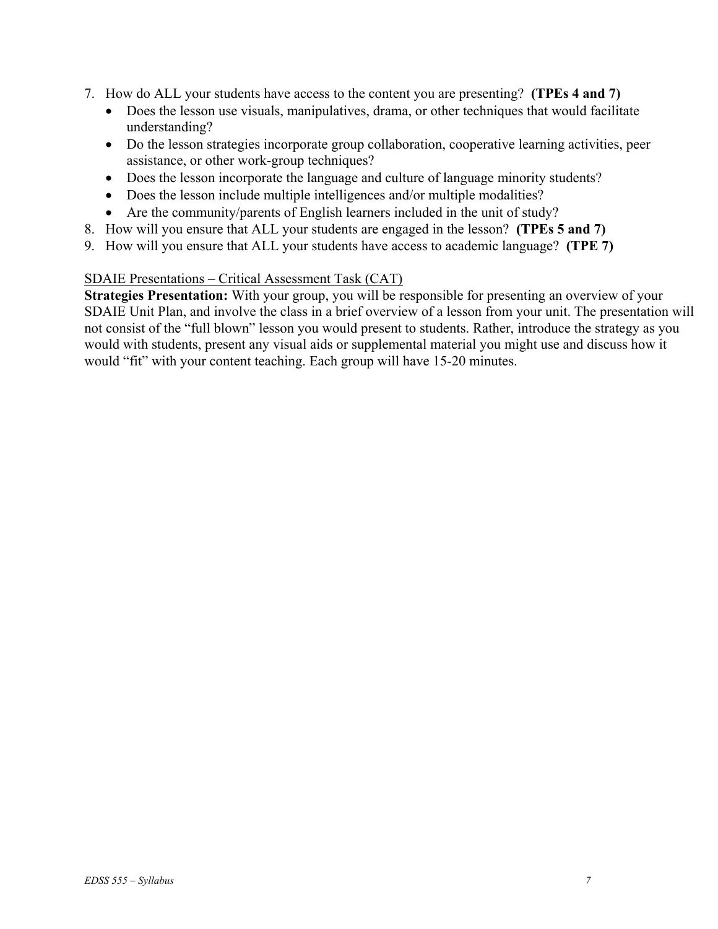- 7. How do ALL your students have access to the content you are presenting? **(TPEs 4 and 7)**
	- Does the lesson use visuals, manipulatives, drama, or other techniques that would facilitate understanding?
	- Do the lesson strategies incorporate group collaboration, cooperative learning activities, peer assistance, or other work-group techniques?
	- Does the lesson incorporate the language and culture of language minority students?
	- Does the lesson include multiple intelligences and/or multiple modalities?
	- Are the community/parents of English learners included in the unit of study?
- 8. How will you ensure that ALL your students are engaged in the lesson? **(TPEs 5 and 7)**
- 9. How will you ensure that ALL your students have access to academic language? **(TPE 7)**

## SDAIE Presentations – Critical Assessment Task (CAT)

**Strategies Presentation:** With your group, you will be responsible for presenting an overview of your SDAIE Unit Plan, and involve the class in a brief overview of a lesson from your unit. The presentation will not consist of the "full blown" lesson you would present to students. Rather, introduce the strategy as you would with students, present any visual aids or supplemental material you might use and discuss how it would "fit" with your content teaching. Each group will have 15-20 minutes.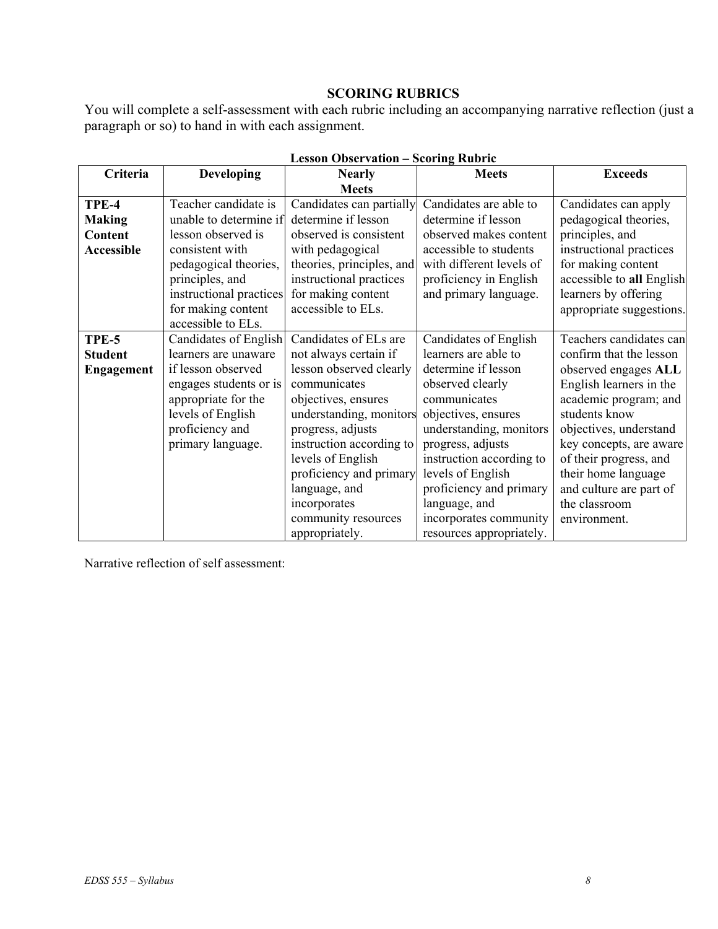# **SCORING RUBRICS**

You will complete a self-assessment with each rubric including an accompanying narrative reflection (just a paragraph or so) to hand in with each assignment.

| Criteria          | <b>Developing</b>       | рсээлн орэгг гашин<br><b>Nearly</b> | <b>DEVELOPE TABBLIC</b><br><b>Meets</b> | <b>Exceeds</b>            |
|-------------------|-------------------------|-------------------------------------|-----------------------------------------|---------------------------|
|                   |                         | <b>Meets</b>                        |                                         |                           |
| TPE-4             | Teacher candidate is    | Candidates can partially            | Candidates are able to                  | Candidates can apply      |
| <b>Making</b>     | unable to determine if  | determine if lesson                 | determine if lesson                     | pedagogical theories,     |
| Content           | lesson observed is      | observed is consistent              | observed makes content                  | principles, and           |
| <b>Accessible</b> | consistent with         | with pedagogical                    | accessible to students                  | instructional practices   |
|                   | pedagogical theories,   | theories, principles, and           | with different levels of                | for making content        |
|                   | principles, and         | instructional practices             | proficiency in English                  | accessible to all English |
|                   | instructional practices | for making content                  | and primary language.                   | learners by offering      |
|                   | for making content      | accessible to ELs.                  |                                         | appropriate suggestions.  |
|                   | accessible to ELs.      |                                     |                                         |                           |
| TPE-5             | Candidates of English   | Candidates of ELs are               | Candidates of English                   | Teachers candidates can   |
| <b>Student</b>    | learners are unaware    | not always certain if               | learners are able to                    | confirm that the lesson   |
| <b>Engagement</b> | if lesson observed      | lesson observed clearly             | determine if lesson                     | observed engages ALL      |
|                   | engages students or is  | communicates                        | observed clearly                        | English learners in the   |
|                   | appropriate for the     | objectives, ensures                 | communicates                            | academic program; and     |
|                   | levels of English       | understanding, monitors             | objectives, ensures                     | students know             |
|                   | proficiency and         | progress, adjusts                   | understanding, monitors                 | objectives, understand    |
|                   | primary language.       | instruction according to            | progress, adjusts                       | key concepts, are aware   |
|                   |                         | levels of English                   | instruction according to                | of their progress, and    |
|                   |                         | proficiency and primary             | levels of English                       | their home language       |
|                   |                         | language, and                       | proficiency and primary                 | and culture are part of   |
|                   |                         | incorporates                        | language, and                           | the classroom             |
|                   |                         | community resources                 | incorporates community                  | environment.              |
|                   |                         | appropriately.                      | resources appropriately.                |                           |

**Lesson Observation – Scoring Rubric** 

Narrative reflection of self assessment: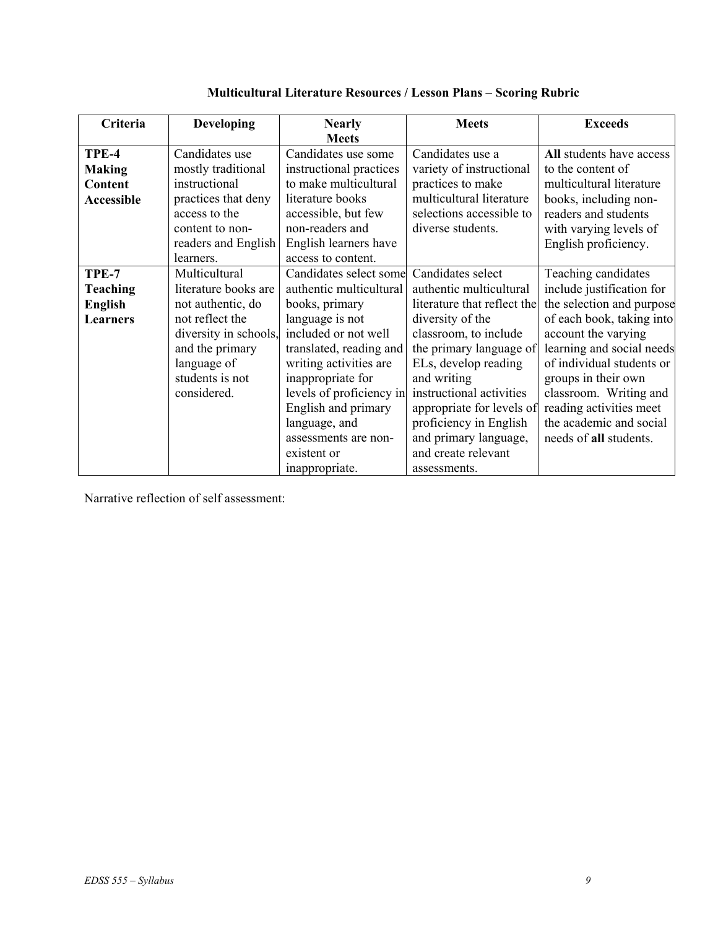| Criteria          | <b>Developing</b>     | <b>Nearly</b>            | <b>Meets</b>                | <b>Exceeds</b>            |
|-------------------|-----------------------|--------------------------|-----------------------------|---------------------------|
|                   |                       | <b>Meets</b>             |                             |                           |
| TPE-4             | Candidates use        | Candidates use some      | Candidates use a            | All students have access  |
| <b>Making</b>     | mostly traditional    | instructional practices  | variety of instructional    | to the content of         |
| Content           | instructional         | to make multicultural    | practices to make           | multicultural literature  |
| <b>Accessible</b> | practices that deny   | literature books         | multicultural literature    | books, including non-     |
|                   | access to the         | accessible, but few      | selections accessible to    | readers and students      |
|                   | content to non-       | non-readers and          | diverse students.           | with varying levels of    |
|                   | readers and English   | English learners have    |                             | English proficiency.      |
|                   | learners.             | access to content.       |                             |                           |
| TPE-7             | Multicultural         | Candidates select some   | Candidates select           | Teaching candidates       |
| <b>Teaching</b>   | literature books are  | authentic multicultural  | authentic multicultural     | include justification for |
| English           | not authentic, do     | books, primary           | literature that reflect the | the selection and purpose |
| <b>Learners</b>   | not reflect the       | language is not          | diversity of the            | of each book, taking into |
|                   | diversity in schools, | included or not well     | classroom, to include       | account the varying       |
|                   | and the primary       | translated, reading and  | the primary language of     | learning and social needs |
|                   | language of           | writing activities are   | ELs, develop reading        | of individual students or |
|                   | students is not       | inappropriate for        | and writing                 | groups in their own       |
|                   | considered.           | levels of proficiency in | instructional activities    | classroom. Writing and    |
|                   |                       | English and primary      | appropriate for levels of   | reading activities meet   |
|                   |                       | language, and            | proficiency in English      | the academic and social   |
|                   |                       | assessments are non-     | and primary language,       | needs of all students.    |
|                   |                       | existent or              | and create relevant         |                           |
|                   |                       | inappropriate.           | assessments.                |                           |

**Multicultural Literature Resources / Lesson Plans – Scoring Rubric**

Narrative reflection of self assessment: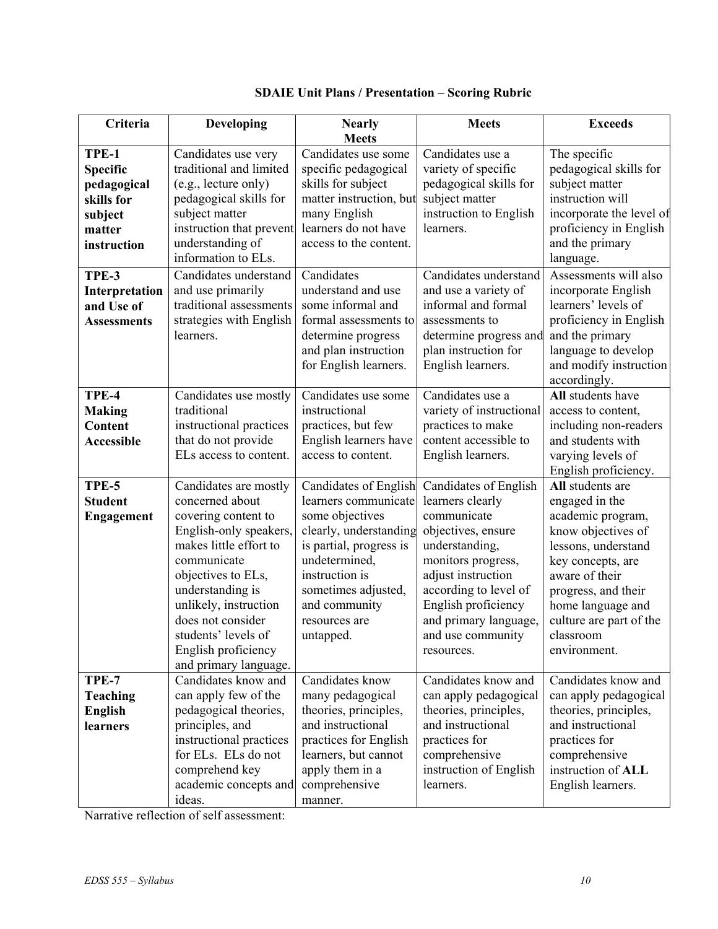| Criteria                                                                                  | Developing                                                                                                                                                                                                                                                                                        | <b>Nearly</b>                                                                                                                                                                                                                  | <b>Meets</b>                                                                                                                                                                                                                                             | <b>Exceeds</b>                                                                                                                                                                                                                                  |
|-------------------------------------------------------------------------------------------|---------------------------------------------------------------------------------------------------------------------------------------------------------------------------------------------------------------------------------------------------------------------------------------------------|--------------------------------------------------------------------------------------------------------------------------------------------------------------------------------------------------------------------------------|----------------------------------------------------------------------------------------------------------------------------------------------------------------------------------------------------------------------------------------------------------|-------------------------------------------------------------------------------------------------------------------------------------------------------------------------------------------------------------------------------------------------|
|                                                                                           |                                                                                                                                                                                                                                                                                                   | <b>Meets</b>                                                                                                                                                                                                                   |                                                                                                                                                                                                                                                          |                                                                                                                                                                                                                                                 |
| TPE-1<br><b>Specific</b><br>pedagogical<br>skills for<br>subject<br>matter<br>instruction | Candidates use very<br>traditional and limited<br>(e.g., lecture only)<br>pedagogical skills for<br>subject matter<br>instruction that prevent<br>understanding of<br>information to ELs.                                                                                                         | Candidates use some<br>specific pedagogical<br>skills for subject<br>matter instruction, but<br>many English<br>learners do not have<br>access to the content.                                                                 | Candidates use a<br>variety of specific<br>pedagogical skills for<br>subject matter<br>instruction to English<br>learners.                                                                                                                               | The specific<br>pedagogical skills for<br>subject matter<br>instruction will<br>incorporate the level of<br>proficiency in English<br>and the primary<br>language.                                                                              |
| TPE-3<br>Interpretation<br>and Use of<br><b>Assessments</b>                               | Candidates understand<br>and use primarily<br>traditional assessments<br>strategies with English<br>learners.                                                                                                                                                                                     | Candidates<br>understand and use<br>some informal and<br>formal assessments to<br>determine progress<br>and plan instruction<br>for English learners.                                                                          | Candidates understand<br>and use a variety of<br>informal and formal<br>assessments to<br>determine progress and<br>plan instruction for<br>English learners.                                                                                            | Assessments will also<br>incorporate English<br>learners' levels of<br>proficiency in English<br>and the primary<br>language to develop<br>and modify instruction<br>accordingly.                                                               |
| TPE-4<br><b>Making</b><br>Content<br><b>Accessible</b>                                    | Candidates use mostly<br>traditional<br>instructional practices<br>that do not provide<br>ELs access to content.                                                                                                                                                                                  | Candidates use some<br>instructional<br>practices, but few<br>English learners have<br>access to content.                                                                                                                      | Candidates use a<br>variety of instructional<br>practices to make<br>content accessible to<br>English learners.                                                                                                                                          | All students have<br>access to content,<br>including non-readers<br>and students with<br>varying levels of<br>English proficiency.                                                                                                              |
| TPE-5<br><b>Student</b><br><b>Engagement</b>                                              | Candidates are mostly<br>concerned about<br>covering content to<br>English-only speakers,<br>makes little effort to<br>communicate<br>objectives to ELs,<br>understanding is<br>unlikely, instruction<br>does not consider<br>students' levels of<br>English proficiency<br>and primary language. | Candidates of English<br>learners communicate<br>some objectives<br>clearly, understanding<br>is partial, progress is<br>undetermined,<br>instruction is<br>sometimes adjusted,<br>and community<br>resources are<br>untapped. | Candidates of English<br>learners clearly<br>communicate<br>objectives, ensure<br>understanding,<br>monitors progress,<br>adjust instruction<br>according to level of<br>English proficiency<br>and primary language,<br>and use community<br>resources. | All students are<br>engaged in the<br>academic program,<br>know objectives of<br>lessons, understand<br>key concepts, are<br>aware of their<br>progress, and their<br>home language and<br>culture are part of the<br>classroom<br>environment. |
| TPE-7<br><b>Teaching</b><br><b>English</b><br>learners                                    | Candidates know and<br>can apply few of the<br>pedagogical theories,<br>principles, and<br>instructional practices<br>for ELs. ELs do not<br>comprehend key<br>academic concepts and<br>ideas.                                                                                                    | Candidates know<br>many pedagogical<br>theories, principles,<br>and instructional<br>practices for English<br>learners, but cannot<br>apply them in a<br>comprehensive<br>manner.                                              | Candidates know and<br>can apply pedagogical<br>theories, principles,<br>and instructional<br>practices for<br>comprehensive<br>instruction of English<br>learners.                                                                                      | Candidates know and<br>can apply pedagogical<br>theories, principles,<br>and instructional<br>practices for<br>comprehensive<br>instruction of ALL<br>English learners.                                                                         |

# **SDAIE Unit Plans / Presentation – Scoring Rubric**

Narrative reflection of self assessment: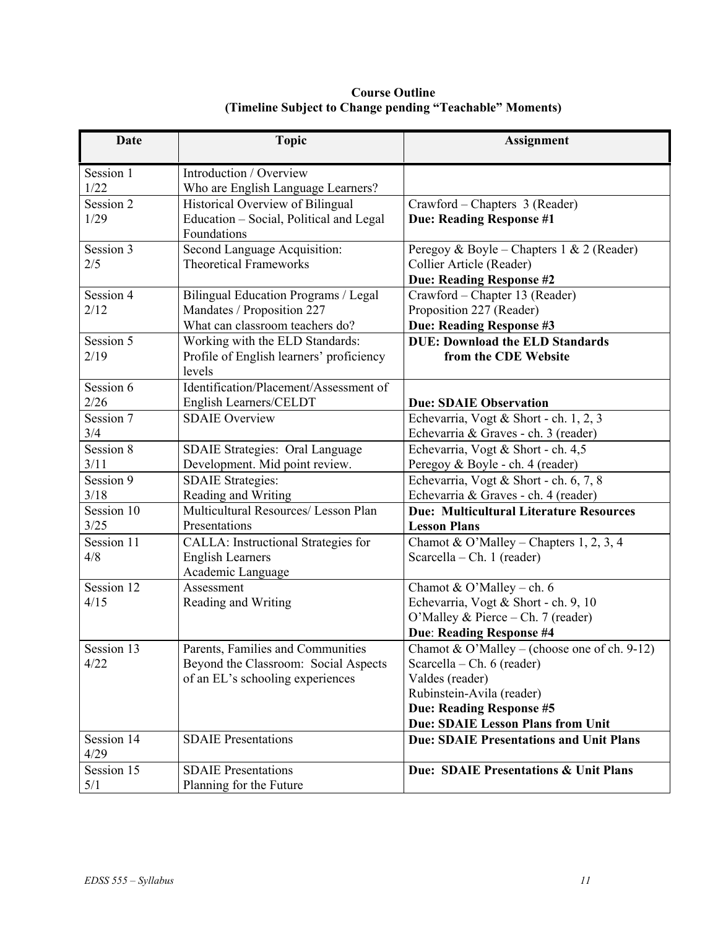| <b>Date</b>        | <b>Topic</b>                                                                                                  | <b>Assignment</b>                                                                                                                                                                                           |
|--------------------|---------------------------------------------------------------------------------------------------------------|-------------------------------------------------------------------------------------------------------------------------------------------------------------------------------------------------------------|
| Session 1<br>1/22  | Introduction / Overview<br>Who are English Language Learners?                                                 |                                                                                                                                                                                                             |
| Session 2<br>1/29  | Historical Overview of Bilingual<br>Education - Social, Political and Legal<br>Foundations                    | Crawford – Chapters 3 (Reader)<br><b>Due: Reading Response #1</b>                                                                                                                                           |
| Session 3<br>2/5   | Second Language Acquisition:<br><b>Theoretical Frameworks</b>                                                 | Peregoy & Boyle – Chapters 1 & 2 (Reader)<br>Collier Article (Reader)<br><b>Due: Reading Response #2</b>                                                                                                    |
| Session 4<br>2/12  | Bilingual Education Programs / Legal<br>Mandates / Proposition 227<br>What can classroom teachers do?         | Crawford - Chapter 13 (Reader)<br>Proposition 227 (Reader)<br>Due: Reading Response #3                                                                                                                      |
| Session 5<br>2/19  | Working with the ELD Standards:<br>Profile of English learners' proficiency<br>levels                         | <b>DUE: Download the ELD Standards</b><br>from the CDE Website                                                                                                                                              |
| Session 6<br>2/26  | Identification/Placement/Assessment of<br>English Learners/CELDT                                              | <b>Due: SDAIE Observation</b>                                                                                                                                                                               |
| Session 7<br>3/4   | <b>SDAIE Overview</b>                                                                                         | Echevarria, Vogt & Short - ch. 1, 2, 3<br>Echevarria & Graves - ch. 3 (reader)                                                                                                                              |
| Session 8<br>3/11  | <b>SDAIE Strategies: Oral Language</b><br>Development. Mid point review.                                      | Echevarria, Vogt & Short - ch. 4,5<br>Peregoy & Boyle - ch. 4 (reader)                                                                                                                                      |
| Session 9<br>3/18  | <b>SDAIE Strategies:</b><br>Reading and Writing                                                               | Echevarria, Vogt & Short - ch. 6, 7, 8<br>Echevarria & Graves - ch. 4 (reader)                                                                                                                              |
| Session 10<br>3/25 | Multicultural Resources/ Lesson Plan<br>Presentations                                                         | <b>Due: Multicultural Literature Resources</b><br><b>Lesson Plans</b>                                                                                                                                       |
| Session 11<br>4/8  | CALLA: Instructional Strategies for<br><b>English Learners</b><br>Academic Language                           | Chamot & O'Malley – Chapters 1, 2, 3, 4<br>Scarcella – Ch. 1 (reader)                                                                                                                                       |
| Session 12<br>4/15 | Assessment<br>Reading and Writing                                                                             | Chamot & O'Malley - ch. 6<br>Echevarria, Vogt & Short - ch. 9, 10<br>O'Malley & Pierce - Ch. 7 (reader)<br>Due: Reading Response #4                                                                         |
| Session 13<br>4/22 | Parents, Families and Communities<br>Beyond the Classroom: Social Aspects<br>of an EL's schooling experiences | Chamot & O'Malley – (choose one of ch. 9-12)<br>Scarcella – Ch. $6$ (reader)<br>Valdes (reader)<br>Rubinstein-Avila (reader)<br><b>Due: Reading Response #5</b><br><b>Due: SDAIE Lesson Plans from Unit</b> |
| Session 14<br>4/29 | <b>SDAIE</b> Presentations                                                                                    | <b>Due: SDAIE Presentations and Unit Plans</b>                                                                                                                                                              |
| Session 15<br>5/1  | <b>SDAIE</b> Presentations<br>Planning for the Future                                                         | Due: SDAIE Presentations & Unit Plans                                                                                                                                                                       |

**Course Outline (Timeline Subject to Change pending "Teachable" Moments)**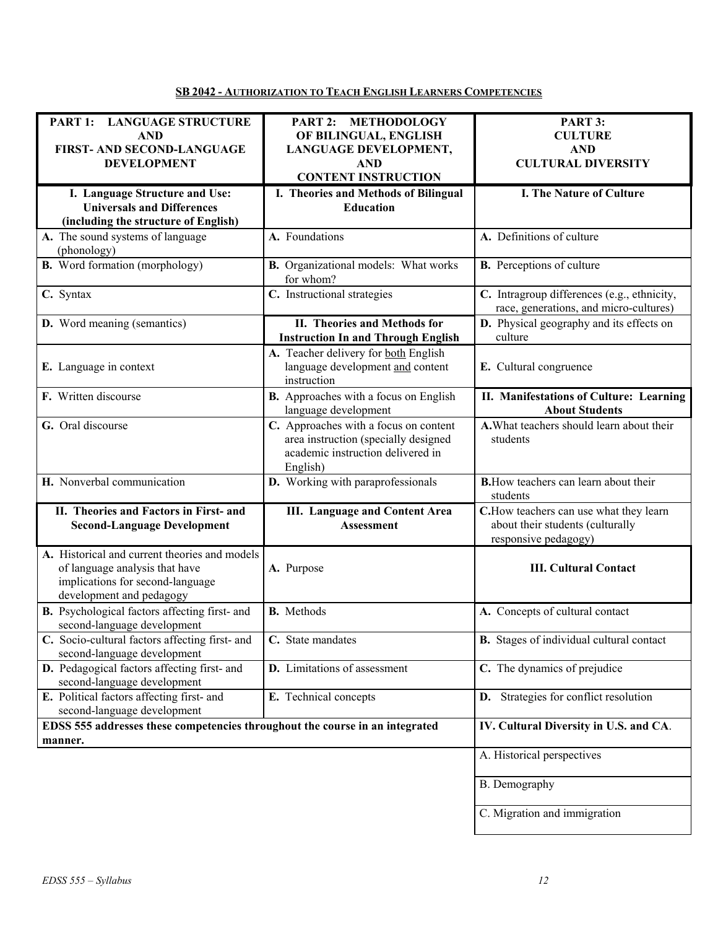### **SB 2042 - AUTHORIZATION TO TEACH ENGLISH LEARNERS COMPETENCIES**

| PART 1: LANGUAGE STRUCTURE<br><b>AND</b><br>FIRST- AND SECOND-LANGUAGE<br><b>DEVELOPMENT</b>                                                    | PART 2: METHODOLOGY<br>OF BILINGUAL, ENGLISH<br>LANGUAGE DEVELOPMENT,<br><b>AND</b><br><b>CONTENT INSTRUCTION</b>              | PART 3:<br><b>CULTURE</b><br><b>AND</b><br><b>CULTURAL DIVERSITY</b>                                |
|-------------------------------------------------------------------------------------------------------------------------------------------------|--------------------------------------------------------------------------------------------------------------------------------|-----------------------------------------------------------------------------------------------------|
| I. Language Structure and Use:<br><b>Universals and Differences</b><br>(including the structure of English)                                     | I. Theories and Methods of Bilingual<br><b>Education</b>                                                                       | I. The Nature of Culture                                                                            |
| A. The sound systems of language<br>(phonology)                                                                                                 | A. Foundations                                                                                                                 | A. Definitions of culture                                                                           |
| <b>B.</b> Word formation (morphology)                                                                                                           | <b>B.</b> Organizational models: What works<br>for whom?                                                                       | <b>B.</b> Perceptions of culture                                                                    |
| C. Syntax                                                                                                                                       | C. Instructional strategies                                                                                                    | C. Intragroup differences (e.g., ethnicity,<br>race, generations, and micro-cultures)               |
| <b>D.</b> Word meaning (semantics)                                                                                                              | II. Theories and Methods for<br><b>Instruction In and Through English</b>                                                      | D. Physical geography and its effects on<br>culture                                                 |
| E. Language in context                                                                                                                          | A. Teacher delivery for both English<br>language development and content<br>instruction                                        | E. Cultural congruence                                                                              |
| F. Written discourse                                                                                                                            | <b>B.</b> Approaches with a focus on English<br>language development                                                           | II. Manifestations of Culture: Learning<br><b>About Students</b>                                    |
| G. Oral discourse                                                                                                                               | C. Approaches with a focus on content<br>area instruction (specially designed<br>academic instruction delivered in<br>English) | A. What teachers should learn about their<br>students                                               |
| H. Nonverbal communication                                                                                                                      | D. Working with paraprofessionals                                                                                              | <b>B.</b> How teachers can learn about their<br>students                                            |
| II. Theories and Factors in First- and<br><b>Second-Language Development</b>                                                                    | <b>III.</b> Language and Content Area<br><b>Assessment</b>                                                                     | C. How teachers can use what they learn<br>about their students (culturally<br>responsive pedagogy) |
| A. Historical and current theories and models<br>of language analysis that have<br>implications for second-language<br>development and pedagogy | A. Purpose                                                                                                                     | <b>III. Cultural Contact</b>                                                                        |
| B. Psychological factors affecting first- and<br>second-language development                                                                    | <b>B.</b> Methods                                                                                                              | A. Concepts of cultural contact                                                                     |
| C. Socio-cultural factors affecting first- and<br>second-language development                                                                   | C. State mandates                                                                                                              | <b>B.</b> Stages of individual cultural contact                                                     |
| D. Pedagogical factors affecting first- and<br>second-language development                                                                      | <b>D.</b> Limitations of assessment                                                                                            | C. The dynamics of prejudice                                                                        |
| E. Political factors affecting first- and<br>second-language development                                                                        | E. Technical concepts                                                                                                          | D. Strategies for conflict resolution                                                               |
| EDSS 555 addresses these competencies throughout the course in an integrated<br>manner.                                                         |                                                                                                                                | IV. Cultural Diversity in U.S. and CA.                                                              |
|                                                                                                                                                 |                                                                                                                                | A. Historical perspectives                                                                          |
|                                                                                                                                                 |                                                                                                                                | B. Demography                                                                                       |
|                                                                                                                                                 |                                                                                                                                | C. Migration and immigration                                                                        |